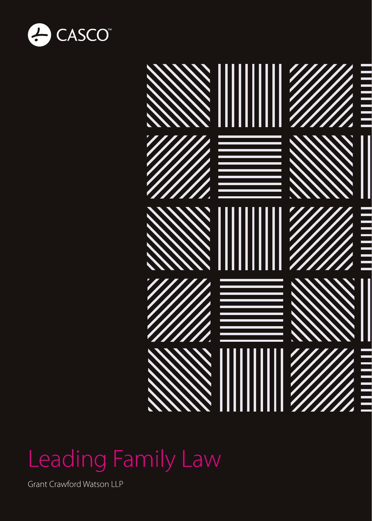



#### Leading Family Law

Grant Crawford Watson LLP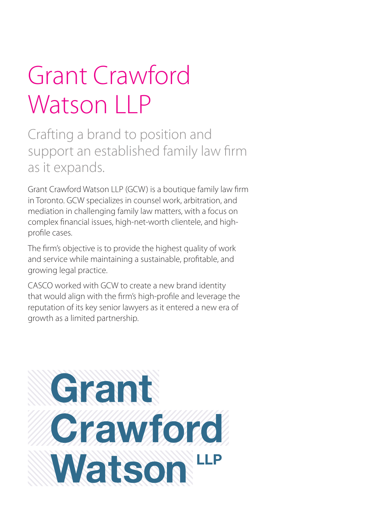### Grant Crawford Watson LLP

Crafting a brand to position and support an established family law firm as it expands.

Grant Crawford Watson LLP (GCW) is a boutique family law firm in Toronto. GCW specializes in counsel work, arbitration, and mediation in challenging family law matters, with a focus on complex financial issues, high-net-worth clientele, and highprofile cases.

The firm's objective is to provide the highest quality of work and service while maintaining a sustainable, profitable, and growing legal practice.

CASCO worked with GCW to create a new brand identity that would align with the firm's high-profile and leverage the reputation of its key senior lawyers as it entered a new era of growth as a limited partnership.

# Grant **Crawford** Watson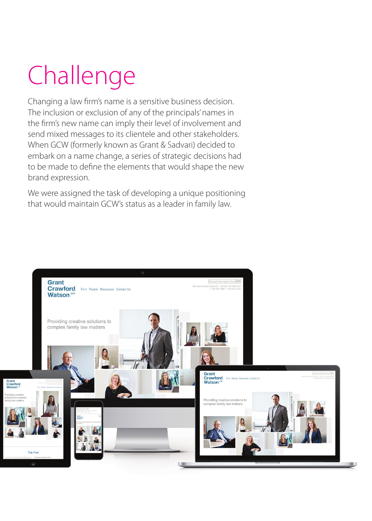## Challenge

Changing a law firm's name is a sensitive business decision. The inclusion or exclusion of any of the principals' names in the firm's new name can imply their level of involvement and send mixed messages to its clientele and other stakeholders. When GCW (formerly known as Grant & Sadvari) decided to embark on a name change, a series of strategic decisions had to be made to define the elements that would shape the new brand expression.

We were assigned the task of developing a unique positioning that would maintain GCW's status as a leader in family law.

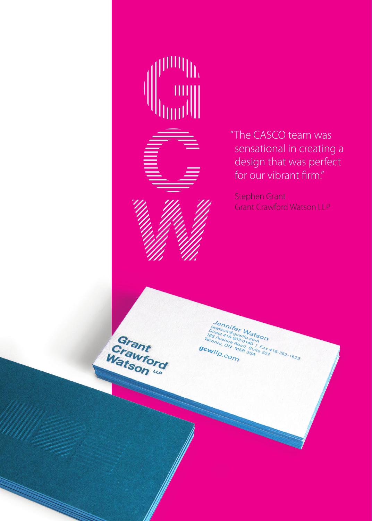

Grant Grant<br>Watson de

illlin

"The CASCO team was sensational in creating a design that was perfect for our vibrant firm."

Stephen Grant Grant Crawford Watson LLP

**Hennifer Watson**<br>Break 418 000 m 000 m 000 m 000 m 000 m 000 m 000 m 000 m 000 m 000 m 000 m 000 m 000 m 000 m 000 m 000 m 000 m 000 m 000 m 000 m 000 m 000 m 000 m 000 m 000 m 000 m 000 m 000 m 000 m 000 m 000 m 000 m 00

**SCWIID.COM**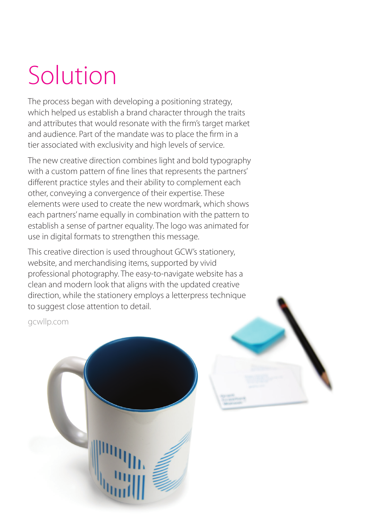### Solution

The process began with developing a positioning strategy, which helped us establish a brand character through the traits and attributes that would resonate with the firm's target market and audience. Part of the mandate was to place the firm in a tier associated with exclusivity and high levels of service.

The new creative direction combines light and bold typography with a custom pattern of fine lines that represents the partners' different practice styles and their ability to complement each other, conveying a convergence of their expertise. These elements were used to create the new wordmark, which shows each partners' name equally in combination with the pattern to establish a sense of partner equality. The logo was animated for use in digital formats to strengthen this message.

This creative direction is used throughout GCW's stationery, website, and merchandising items, supported by vivid professional photography. The easy-to-navigate website has a clean and modern look that aligns with the updated creative direction, while the stationery employs a letterpress technique to suggest close attention to detail.

gcwllp.com